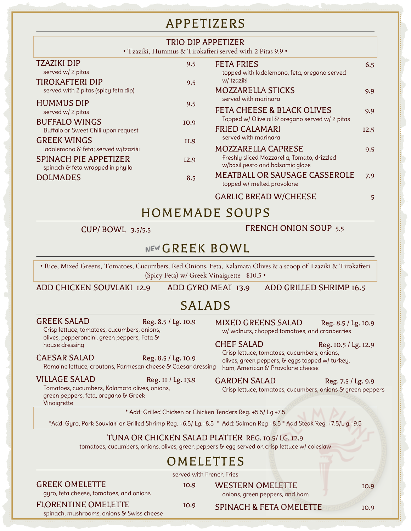# APPETIZERS

|                                                             | <b>TRIO DIP APPETIZER</b> | • Tzaziki, Hummus & Tirokafteri served with 2 Pitas 9.9 •                                |      |
|-------------------------------------------------------------|---------------------------|------------------------------------------------------------------------------------------|------|
| TZAZIKI DIP<br>served w/ 2 pitas                            | 9.5                       | <b>FETA FRIES</b><br>topped with ladolemono, feta, oregano served                        | 6.5  |
| TIROKAFTERI DIP<br>served with 2 pitas (spicy feta dip)     | 9.5                       | w/tzaziki<br><b>MOZZARELLA STICKS</b><br>served with marinara                            | 9.9  |
| <b>HUMMUS DIP</b><br>served w/ 2 pitas                      | 9.5                       | <b>FETA CHEESE &amp; BLACK OLIVES</b><br>Topped w/ Olive oil & oregano served w/ 2 pitas | 9.9  |
| <b>BUFFALO WINGS</b><br>Buffalo or Sweet Chili upon request | IO.9                      | <b>FRIED CALAMARI</b>                                                                    | I2.5 |
| <b>GREEK WINGS</b><br>ladolemono & feta; served w/tzaziki   | II.9                      | served with marinara<br><b>MOZZARELLA CAPRESE</b>                                        | 9.5  |
| SPINACH PIE APPETIZER<br>spinach & feta wrapped in phyllo   | I2.9                      | Freshly sliced Mozzarella, Tomato, drizzled<br>w/basil pesto and balsamic glaze          |      |
| <b>DOLMADES</b>                                             | 8.5                       | <b>MEATBALL OR SAUSAGE CASSEROLE</b><br>topped w/ melted provolone                       | 7.9  |
|                                                             |                           | <b>GARLIC BREAD W/CHEESE</b>                                                             | 5    |
|                                                             |                           | <b>HOMEMADE SOUPS</b>                                                                    |      |

### CUP/ BOWL 3.5/5.5 FRENCH ONION SOUP 5.5

# NEW GREEK BOWL

• Rice, Mixed Greens, Tomatoes, Cucumbers, Red Onions, Feta, Kalamata Olives & a scoop of Tzaziki & Tirokafteri (Spicy Feta) w/ Greek Vinaigrette \$10.5 •

ADD CHICKEN SOUVLAKI 12.9 ADD GYRO MEAT 13.9 ADD GRILLED SHRIMP 16.5

# SALADS

GREEK SALAD Reg. 8.5 / Lg. 10.9

Crisp lettuce, tomatoes, cucumbers, onions, olives, pepperoncini, green peppers, Feta & house dressing

#### CAESAR SALAD Reg. 8.5 / Lg. 10.9

Romaine lettuce, croutons, Parmesan cheese & Caesar dressing ham, American & Provolone cheese

#### VILLAGE SALAD Reg. II / Lg. 13.9

Tomatoes, cucumbers, Kalamata olives, onions, green peppers, feta, oregano & Greek Vinaigrette

MIXED GREENS SALAD Reg. 8.5 / Lg. 10.9 w/ walnuts, chopped tomatoes, and cranberries

CHEF SALAD Reg. 10.5 / Lg. 12.9

Crisp lettuce, tomatoes, cucumbers, onions, olives, green peppers, & eggs topped w/ turkey,

#### GARDEN SALAD Reg. 7.5 / Lg. 9.9

Crisp lettuce, tomatoes, cucumbers, onions & green peppers

\* Add: Grilled Chicken or Chicken Tenders Reg. +5.5/ Lg.+7.5

\*Add: Gyro, Pork Souvlaki or Grilled Shrimp Reg. +6.5/ Lg.+8.5 \* Add: Salmon Reg +8.5 \* Add Steak Reg: +7.5/L g.+9.5

### TUNA OR CHICKEN SALAD PLATTER REG. 10.5/ LG. 12.9

tomatoes, cucumbers, onions, olives, green peppers & egg served on crisp lettuce w/ coleslaw

# OMELETTES

served with French Fries

#### GREEK OMELETTE 10.9

gyro, feta cheese, tomatoes, and onions

WESTERN OMELETTE 10.9 onions, green peppers, and ham

FLORENTINE OMELETTE 10.9

spinach, mushrooms, onions & Swiss cheese

SPINACH & FETA OMELETTE 10.9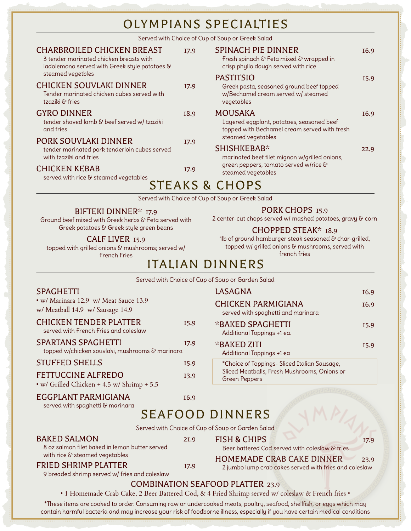Served with Choice of Cup of Soup or Greek Salad

| <b>CHARBROILED CHICKEN BREAST</b><br>3 tender marinated chicken breasts with<br>ladolemono served with Greek style potatoes & | I7.9             | <b>SPINACH PIE DINNER</b><br>Fresh spinach & Feta mixed & wrapped in<br>crisp phyllo dough served with rice      |                  |  |  |
|-------------------------------------------------------------------------------------------------------------------------------|------------------|------------------------------------------------------------------------------------------------------------------|------------------|--|--|
| steamed vegetbles<br><b>CHICKEN SOUVLAKI DINNER</b><br>Tender marinated chicken cubes served with<br>tzaziki & fries          | I7.9             | <b>PASTITSIO</b><br>Greek pasta, seasoned ground beef topped<br>w/Bechamel cream served w/ steamed<br>vegetables | I5.9             |  |  |
| <b>GYRO DINNER</b><br>tender shaved lamb & beef served w/ tzaziki<br>and fries                                                | I <sub>8.9</sub> | <b>MOUSAKA</b><br>Layered eggplant, potatoes, seasoned beef<br>topped with Bechamel cream served with fresh      | I <sub>6.9</sub> |  |  |
| PORK SOUVLAKI DINNER<br>tender marinated pork tenderloin cubes served<br>with tzaziki and fries                               | I7.9             | steamed vegetables<br>SHISHKEBAB*<br>marinated beef filet mignon w/grilled onions,                               | 22.9             |  |  |
| <b>CHICKEN KEBAB</b><br>served with rice & steamed vegetables                                                                 | I7.9             | green peppers, tomato served w/rice &<br>steamed vegetables                                                      |                  |  |  |
| <b>STEAKS &amp; CHOPS</b>                                                                                                     |                  |                                                                                                                  |                  |  |  |

Served with Choice of Cup of Soup or Greek Salad

### BIFTEKI DINNER\* 17.9

Ground beef mixed with Greek herbs & Feta served with Greek potatoes & Greek style green beans

### PORK CHOPS 15.9

2 center-cut chops served w/ mashed potatoes, gravy & corn

### CHOPPED STEAK\* 18.9

CALF LIVER 15.9

French Fries

topped with grilled onions & mushrooms; served w/ 1lb of ground hamburger steak seasoned & char-grilled, topped w/ grilled onions & mushrooms, served with french fries

# ITALIAN DINNERS

|                                                                                                                |                  | Served with Choice of Cup of Soup or Garden Salad                                          |                  |
|----------------------------------------------------------------------------------------------------------------|------------------|--------------------------------------------------------------------------------------------|------------------|
| <b>SPAGHETTI</b>                                                                                               |                  | <b>LASAGNA</b>                                                                             | I <sub>6.9</sub> |
| • w/ Marinara 12.9 w/ Meat Sauce 13.9<br>w/ Meatball 14.9 w/ Sausage 14.9                                      |                  | <b>CHICKEN PARMIGIANA</b><br>served with spaghetti and marinara                            | I <sub>6.9</sub> |
| <b>CHICKEN TENDER PLATTER</b><br>served with French Fries and coleslaw                                         | I5.9             | *BAKED SPAGHETTI<br>Additional Toppings +1 ea.                                             | I5.9             |
| SPARTANS SPAGHETTI<br>topped w/chicken souvlaki, mushrooms & marinara                                          | I7.9             | *BAKED ZITI<br>Additional Toppings +1 ea                                                   | I5.9             |
| <b>STUFFED SHELLS</b>                                                                                          | I5.9             | *Choice of Toppings- Sliced Italian Sausage,                                               |                  |
| <b>FETTUCCINE ALFREDO</b><br>• w/ Grilled Chicken + 4.5 w/ Shrimp + 5.5                                        | <b>I3.9</b>      | Sliced Meatballs, Fresh Mushrooms, Onions or<br><b>Green Peppers</b>                       |                  |
| EGGPLANT PARMIGIANA<br>served with spaghetti & marinara                                                        | I <sub>6.9</sub> |                                                                                            |                  |
|                                                                                                                |                  | <b>SEAFOOD DINNERS</b>                                                                     |                  |
|                                                                                                                |                  | Served with Choice of Cup of Soup or Garden Salad                                          |                  |
| <b>BAKED SALMON</b><br>8 oz salmon filet baked in lemon butter served                                          | <b>2I.9</b>      | <b>FISH &amp; CHIPS</b><br>Beer battered Cod served with coleslaw & fries                  | I7.9             |
| with rice & steamed vegetables<br><b>FRIED SHRIMP PLATTER</b><br>9 breaded shrimp served w/ fries and coleslaw | I7.9             | <b>HOMEMADE CRAB CAKE DINNER</b><br>2 jumbo lump crab cakes served with fries and coleslaw | 23.9             |
| $G \cap H$                                                                                                     |                  |                                                                                            |                  |

## COMBINATION SEAFOOD PLATTER 23.9

• 1 Homemade Crab Cake, 2 Beer Battered Cod, & 4 Fried Shrimp served w/ coleslaw & French fries •

\*These items are cooked to order. Consuming raw or undercooked meats, poultry, seafood, shellfish, or eggs which may contain harmful bacteria and may increase your risk of foodborne illness, especially if you have certain medical conditions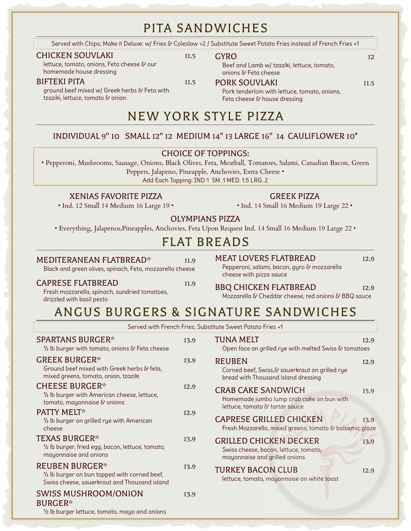# PITA SANDWICHES

Served with Chips; Make it Deluxe: w/ Fries & Coleslaw +2 / Substitute Sweet Potato Fries instead of French Fries +1

#### CHICKEN SOUVLAKI 11.5

tzaziki, lettuce, tomato & onion

lettuce, tomato, onions, Feta cheese & our homemade house dressing

#### BIFTEKI PITA 11.5

ground beef mixed w/ Greek herbs & Feta with

Beef and Lamb w/ tzaziki, lettuce, tomato, onions & Feta cheese

### PORK SOUVLAKI 11.5

Pork tenderloin with lettuce, tomato, onions, Feta cheese & house dressing

# NEW YORK STYLE PIZZA

# INDIVIDUAL 9'' 10 SMALL 12'' 12 MEDIUM 14'' 13 LARGE 16'' 14 CAULIFLOWER 10"

### CHOICE OF TOPPINGS:

• Pepperoni, Mushrooms, Sausage, Onions, Black Olives, Feta, Meatball, Tomatoes, Salami, Canadian Bacon, Green

Peppers, Jalapeno, Pineapple, Anchovies, Extra Cheese •

Add Each Topping: IND 1 SM. 1 MED. 1.5 LRG. 2

### XENIAS FAVORITE PIZZA

• Ind. 12 Small 14 Medium 16 Large 19 •

### GREEK PIZZA

• Ind. 14 Small 16 Medium 19 Large 22 •

## OLYMPIANS PIZZA

• Everything, Jalapenos,Pineapples, Anchovies, Feta Upon Request Ind. 14 Small 16 Medium 19 Large 22 •

# FLAT BREADS

#### MEDITERANEAN FLATBREAD\* 11.9

MEAT LOVERS FLATBREAD 12.9

Pepperoni, salami, bacon, gyro & mozzarella

Black and green olives, spinach, Feta, mozzarella cheese

#### CAPRESE FLATBREAD 11.9

BBQ CHICKEN FLATBREAD 12.9 Mozzarella & Cheddar cheese, red onions & BBQ sauce

cheese with pizza sauce

Fresh mozzarella, spinach, sundried tomatoes, drizzled with basil pesto

# ANGUS BURGERS & SIGNATURE SANDWICHES

Served with French Fries; Substitute Sweet Potato Fries +1

| <b>SPARTANS BURGER*</b><br>1/2 lb burger with tomato, onions & Feta cheese                                             | <b>I3.9</b> | <b>TUNA MELT</b><br>Open face on grilled rye with melted Swiss & tomatoes                                | I <sub>2.9</sub> |
|------------------------------------------------------------------------------------------------------------------------|-------------|----------------------------------------------------------------------------------------------------------|------------------|
| <b>GREEK BURGER*</b><br>Ground beef mixed with Greek herbs & feta,<br>mixed greens, tomato, onion, tzaziki             | <b>I3.9</b> | <b>REUBEN</b><br>Corned beef, Swiss,& sauerkraut on grilled rye<br>bread with Thousand island dressing   | I2.9             |
| <b>CHEESE BURGER*</b><br>1/2 lb burger with American cheese, lettuce,<br>tomato, mayonnaise & onions                   | I2.9        | <b>CRAB CAKE SANDWICH</b><br>Homemade jumbo lump crab cake on bun with<br>lettuce, tomato & tartar sauce | I5.9             |
| <b>PATTY MELT*</b><br>1/2 Ib burger on grilled rye with American<br>cheese                                             | I2.9        | <b>CAPRESE GRILLED CHICKEN</b><br>Fresh Mozzarella, mixed greens, tomato & balsamic glaze                | <b>I3.9</b>      |
| <b>TEXAS BURGER*</b><br>1/2 lb burger, fried egg, bacon, lettuce, tomato,<br>mayonnaise and onions                     | I3.9        | <b>GRILLED CHICKEN DECKER</b><br>Swiss cheese, bacon, lettuce, tomato,<br>mayonnaise and grilled onions  | <b>I3.9</b>      |
| <b>REUBEN BURGER*</b><br>1/2 lb burger on bun topped with corned beef,<br>Swiss cheese, sauerkraut and Thousand island | I3.9        | <b>TURKEY BACON CLUB</b><br>lettuce, tomato, mayonnaise on white toast                                   | I2.9             |
| <b>SWISS MUSHROOM/ONION</b><br><b>BURGER*</b><br>$\frac{1}{2}$ lb burger lettuce, tomato, mayo and onions              | I3.9        |                                                                                                          |                  |

# GYRO 12